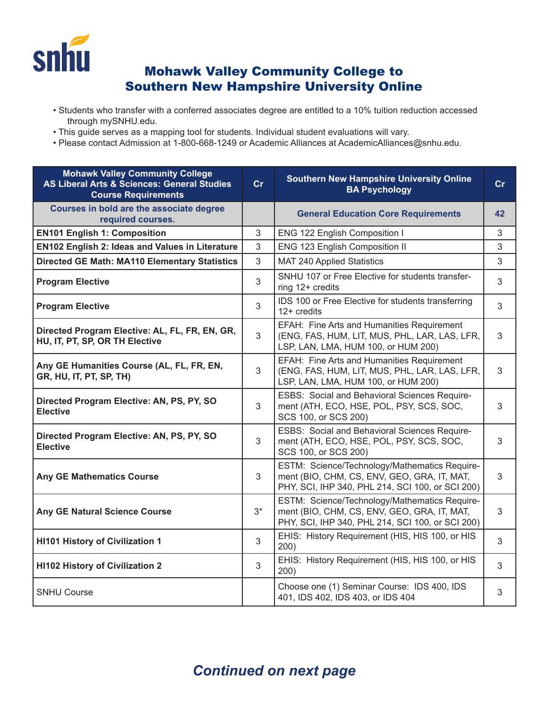

## Mohawk Valley Community College to Southern New Hampshire University Online

- Students who transfer with a conferred associates degree are entitled to a 10% tuition reduction accessed through mySNHU.edu.
- This guide serves as a mapping tool for students. Individual student evaluations will vary.
- Please contact Admission at 1-800-668-1249 or Academic Alliances at AcademicAlliances@snhu.edu.

| <b>Mohawk Valley Community College</b><br><b>AS Liberal Arts &amp; Sciences: General Studies</b><br><b>Course Requirements</b> | Cr   | <b>Southern New Hampshire University Online</b><br><b>BA Psychology</b>                                                                          | cr |
|--------------------------------------------------------------------------------------------------------------------------------|------|--------------------------------------------------------------------------------------------------------------------------------------------------|----|
| Courses in bold are the associate degree<br>required courses.                                                                  |      | <b>General Education Core Requirements</b>                                                                                                       | 42 |
| <b>EN101 English 1: Composition</b>                                                                                            | 3    | ENG 122 English Composition I                                                                                                                    | 3  |
| <b>EN102 English 2: Ideas and Values in Literature</b>                                                                         | 3    | ENG 123 English Composition II                                                                                                                   | 3  |
| <b>Directed GE Math: MA110 Elementary Statistics</b>                                                                           | 3    | MAT 240 Applied Statistics                                                                                                                       | 3  |
| <b>Program Elective</b>                                                                                                        | 3    | SNHU 107 or Free Elective for students transfer-<br>ring 12+ credits                                                                             | 3  |
| <b>Program Elective</b>                                                                                                        | 3    | IDS 100 or Free Elective for students transferring<br>12+ credits                                                                                | 3  |
| Directed Program Elective: AL, FL, FR, EN, GR,<br>HU, IT, PT, SP, OR TH Elective                                               | 3    | EFAH: Fine Arts and Humanities Requirement<br>(ENG, FAS, HUM, LIT, MUS, PHL, LAR, LAS, LFR,<br>LSP, LAN, LMA, HUM 100, or HUM 200)               | 3  |
| Any GE Humanities Course (AL, FL, FR, EN,<br>GR, HU, IT, PT, SP, TH)                                                           | 3    | EFAH: Fine Arts and Humanities Requirement<br>(ENG, FAS, HUM, LIT, MUS, PHL, LAR, LAS, LFR,<br>LSP, LAN, LMA, HUM 100, or HUM 200)               | 3  |
| Directed Program Elective: AN, PS, PY, SO<br><b>Elective</b>                                                                   | 3    | ESBS: Social and Behavioral Sciences Require-<br>ment (ATH, ECO, HSE, POL, PSY, SCS, SOC,<br>SCS 100, or SCS 200)                                | 3  |
| Directed Program Elective: AN, PS, PY, SO<br><b>Elective</b>                                                                   | 3    | ESBS: Social and Behavioral Sciences Require-<br>ment (ATH, ECO, HSE, POL, PSY, SCS, SOC,<br>SCS 100, or SCS 200)                                | 3  |
| <b>Any GE Mathematics Course</b>                                                                                               | 3    | ESTM: Science/Technology/Mathematics Require-<br>ment (BIO, CHM, CS, ENV, GEO, GRA, IT, MAT,<br>PHY, SCI, IHP 340, PHL 214, SCI 100, or SCI 200) | 3  |
| <b>Any GE Natural Science Course</b>                                                                                           | $3*$ | ESTM: Science/Technology/Mathematics Require-<br>ment (BIO, CHM, CS, ENV, GEO, GRA, IT, MAT,<br>PHY, SCI, IHP 340, PHL 214, SCI 100, or SCI 200) | 3  |
| <b>HI101 History of Civilization 1</b>                                                                                         | 3    | EHIS: History Requirement (HIS, HIS 100, or HIS<br>200)                                                                                          | 3  |
| <b>HI102 History of Civilization 2</b>                                                                                         | 3    | EHIS: History Requirement (HIS, HIS 100, or HIS<br>200)                                                                                          | 3  |
| <b>SNHU Course</b>                                                                                                             |      | Choose one (1) Seminar Course: IDS 400, IDS<br>401, IDS 402, IDS 403, or IDS 404                                                                 | 3  |